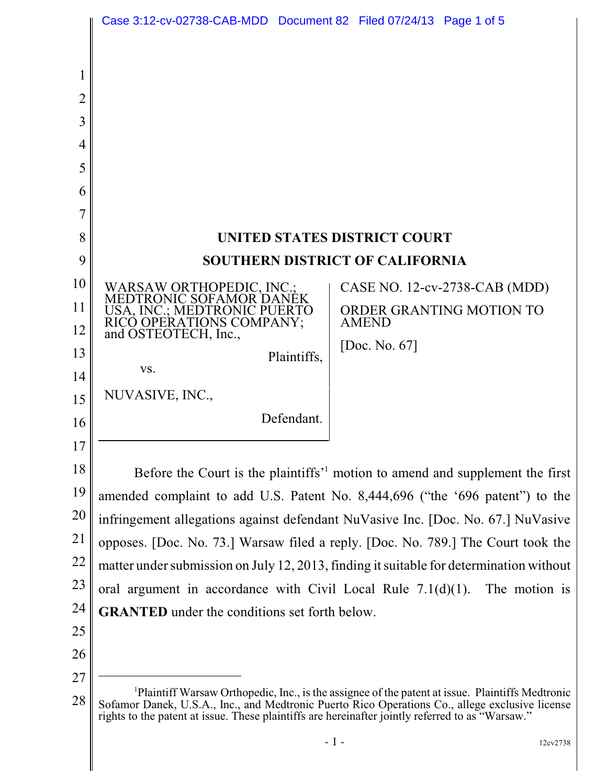|                       | Case 3:12-cv-02738-CAB-MDD  Document 82  Filed 07/24/13  Page 1 of 5                                                                                                                                                                                                                                   |
|-----------------------|--------------------------------------------------------------------------------------------------------------------------------------------------------------------------------------------------------------------------------------------------------------------------------------------------------|
| 2<br>3<br>4<br>5<br>6 |                                                                                                                                                                                                                                                                                                        |
| 8                     | UNITED STATES DISTRICT COURT                                                                                                                                                                                                                                                                           |
| 9                     | <b>SOUTHERN DISTRICT OF CALIFORNIA</b>                                                                                                                                                                                                                                                                 |
| 10                    | WARSAW ORTHOPEDIC, INC.;<br>MEDTRONIC SOFAMOR DANEK<br>CASE NO. 12-cv-2738-CAB (MDD)                                                                                                                                                                                                                   |
| 11                    | ORDER GRANTING MOTION TO<br>USA, INC.; MEDTRONIC PUERTO                                                                                                                                                                                                                                                |
| 12                    | RICO OPERATIONS COMPANY;<br>and OSTEOTECH, Inc.,<br><b>AMEND</b>                                                                                                                                                                                                                                       |
| 13                    | [Doc. No. 67]<br>Plaintiffs,<br>VS.                                                                                                                                                                                                                                                                    |
| 14                    | NUVASIVE, INC.,                                                                                                                                                                                                                                                                                        |
| 15                    | Defendant.                                                                                                                                                                                                                                                                                             |
| 16<br>17              |                                                                                                                                                                                                                                                                                                        |
| 18                    | Before the Court is the plaintiffs <sup>1</sup> motion to amend and supplement the first                                                                                                                                                                                                               |
| 19                    | amended complaint to add U.S. Patent No. 8,444,696 ("the '696 patent") to the                                                                                                                                                                                                                          |
| 20                    | infringement allegations against defendant NuVasive Inc. [Doc. No. 67.] NuVasive                                                                                                                                                                                                                       |
| 21                    | opposes. [Doc. No. 73.] Warsaw filed a reply. [Doc. No. 789.] The Court took the                                                                                                                                                                                                                       |
| 22                    | matter under submission on July 12, 2013, finding it suitable for determination without                                                                                                                                                                                                                |
| 23                    | oral argument in accordance with Civil Local Rule $7.1(d)(1)$ .<br>The motion is                                                                                                                                                                                                                       |
| 24                    | <b>GRANTED</b> under the conditions set forth below.                                                                                                                                                                                                                                                   |
| 25                    |                                                                                                                                                                                                                                                                                                        |
| 26                    |                                                                                                                                                                                                                                                                                                        |
| 27<br>28              | Plaintiff Warsaw Orthopedic, Inc., is the assignee of the patent at issue. Plaintiffs Medtronic<br>Sofamor Danek, U.S.A., Inc., and Medtronic Puerto Rico Operations Co., allege exclusive license<br>rights to the patent at issue. These plaintiffs are hereinafter jointly referred to as "Warsaw." |

 $-1$  - 12cv2738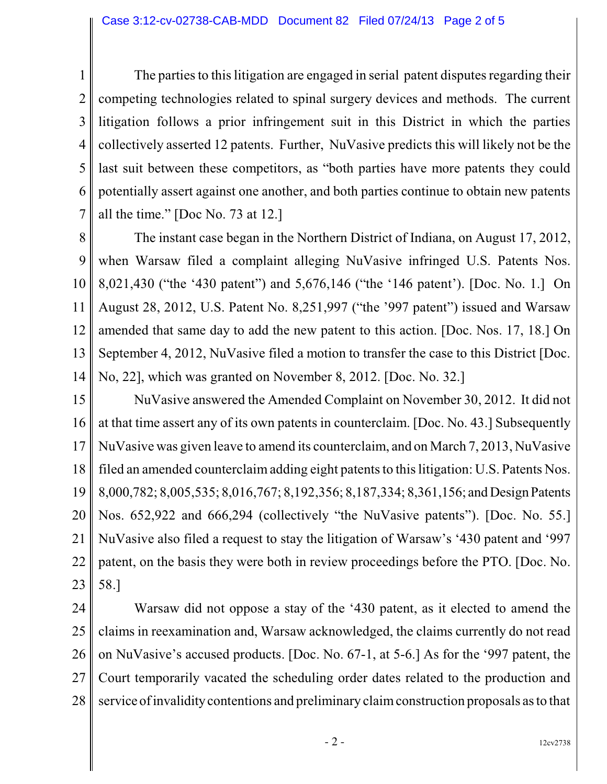1 2 3 4 5 6 7 The parties to this litigation are engaged in serial patent disputes regarding their competing technologies related to spinal surgery devices and methods. The current litigation follows a prior infringement suit in this District in which the parties collectively asserted 12 patents. Further, NuVasive predicts this will likely not be the last suit between these competitors, as "both parties have more patents they could potentially assert against one another, and both parties continue to obtain new patents all the time." [Doc No. 73 at 12.]

8 9 10 11 12 13 14 The instant case began in the Northern District of Indiana, on August 17, 2012, when Warsaw filed a complaint alleging NuVasive infringed U.S. Patents Nos. 8,021,430 ("the '430 patent") and 5,676,146 ("the '146 patent'). [Doc. No. 1.] On August 28, 2012, U.S. Patent No. 8,251,997 ("the '997 patent") issued and Warsaw amended that same day to add the new patent to this action. [Doc. Nos. 17, 18.] On September 4, 2012, NuVasive filed a motion to transfer the case to this District [Doc. No, 22], which was granted on November 8, 2012. [Doc. No. 32.]

15 16 17 18 19 20 21 22 23 NuVasive answered the Amended Complaint on November 30, 2012. It did not at that time assert any of its own patents in counterclaim. [Doc. No. 43.] Subsequently NuVasive was given leave to amend its counterclaim, and on March 7, 2013, NuVasive filed an amended counterclaim adding eight patents to this litigation: U.S. Patents Nos. 8,000,782; 8,005,535; 8,016,767; 8,192,356; 8,187,334; 8,361,156; and DesignPatents Nos. 652,922 and 666,294 (collectively "the NuVasive patents"). [Doc. No. 55.] NuVasive also filed a request to stay the litigation of Warsaw's '430 patent and '997 patent, on the basis they were both in review proceedings before the PTO. [Doc. No. 58.]

24 25 26 27 28 Warsaw did not oppose a stay of the '430 patent, as it elected to amend the claims in reexamination and, Warsaw acknowledged, the claims currently do not read on NuVasive's accused products. [Doc. No. 67-1, at 5-6.] As for the '997 patent, the Court temporarily vacated the scheduling order dates related to the production and service of invalidity contentions and preliminary claim construction proposals as to that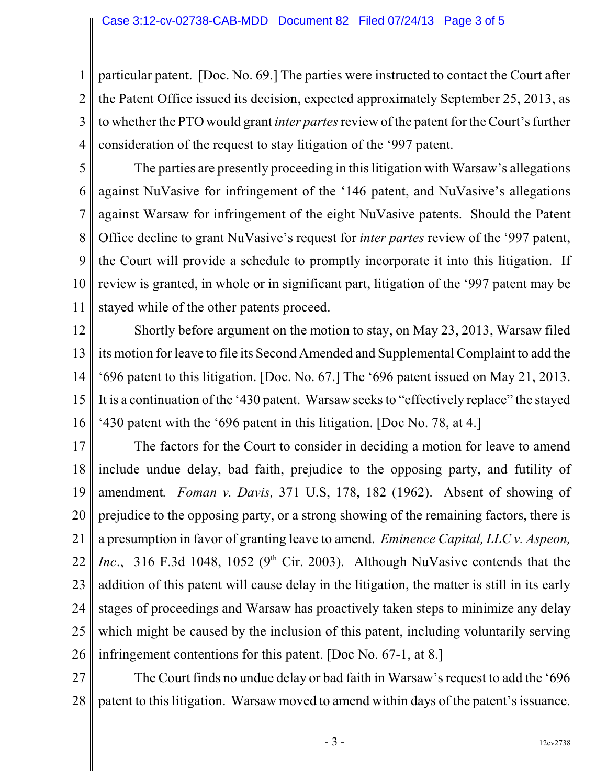1 2 3 4 particular patent. [Doc. No. 69.] The parties were instructed to contact the Court after the Patent Office issued its decision, expected approximately September 25, 2013, as to whether the PTO would grant *inter partes*review of the patent for the Court's further consideration of the request to stay litigation of the '997 patent.

5 6 7 8 9 10 11 The parties are presently proceeding in this litigation with Warsaw's allegations against NuVasive for infringement of the '146 patent, and NuVasive's allegations against Warsaw for infringement of the eight NuVasive patents. Should the Patent Office decline to grant NuVasive's request for *inter partes* review of the '997 patent, the Court will provide a schedule to promptly incorporate it into this litigation. If review is granted, in whole or in significant part, litigation of the '997 patent may be stayed while of the other patents proceed.

12 13 14 15 16 Shortly before argument on the motion to stay, on May 23, 2013, Warsaw filed its motion for leave to file its Second Amended and Supplemental Complaint to add the '696 patent to this litigation. [Doc. No. 67.] The '696 patent issued on May 21, 2013. It is a continuation of the '430 patent. Warsaw seeks to "effectively replace" the stayed '430 patent with the '696 patent in this litigation. [Doc No. 78, at 4.]

17 18 19 20 21 22 23 24 25 26 The factors for the Court to consider in deciding a motion for leave to amend include undue delay, bad faith, prejudice to the opposing party, and futility of amendment*. Foman v. Davis,* 371 U.S, 178, 182 (1962). Absent of showing of prejudice to the opposing party, or a strong showing of the remaining factors, there is a presumption in favor of granting leave to amend. *Eminence Capital, LLC v. Aspeon, Inc.*, 316 F.3d 1048, 1052 ( $9<sup>th</sup>$  Cir. 2003). Although NuVasive contends that the addition of this patent will cause delay in the litigation, the matter is still in its early stages of proceedings and Warsaw has proactively taken steps to minimize any delay which might be caused by the inclusion of this patent, including voluntarily serving infringement contentions for this patent. [Doc No. 67-1, at 8.]

27 28 The Court finds no undue delay or bad faith in Warsaw's request to add the '696 patent to this litigation. Warsaw moved to amend within days of the patent's issuance.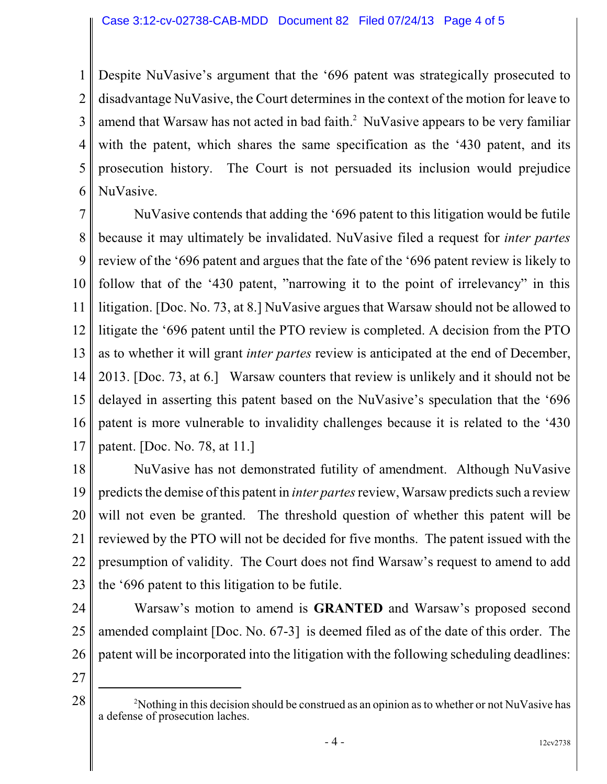1 2 3 4 5 6 Despite NuVasive's argument that the '696 patent was strategically prosecuted to disadvantage NuVasive, the Court determines in the context of the motion for leave to amend that Warsaw has not acted in bad faith. $^2$  NuVasive appears to be very familiar with the patent, which shares the same specification as the '430 patent, and its prosecution history. The Court is not persuaded its inclusion would prejudice NuVasive.

7 8 9 10 11 12 13 14 15 16 17 NuVasive contends that adding the '696 patent to this litigation would be futile because it may ultimately be invalidated. NuVasive filed a request for *inter partes* review of the '696 patent and argues that the fate of the '696 patent review is likely to follow that of the '430 patent, "narrowing it to the point of irrelevancy" in this litigation. [Doc. No. 73, at 8.] NuVasive argues that Warsaw should not be allowed to litigate the '696 patent until the PTO review is completed. A decision from the PTO as to whether it will grant *inter partes* review is anticipated at the end of December, 2013. [Doc. 73, at 6.] Warsaw counters that review is unlikely and it should not be delayed in asserting this patent based on the NuVasive's speculation that the '696 patent is more vulnerable to invalidity challenges because it is related to the '430 patent. [Doc. No. 78, at 11.]

18 19 20 21 22 23 NuVasive has not demonstrated futility of amendment. Although NuVasive predicts the demise of this patent in *inter partes* review, Warsaw predicts such a review will not even be granted. The threshold question of whether this patent will be reviewed by the PTO will not be decided for five months. The patent issued with the presumption of validity. The Court does not find Warsaw's request to amend to add the '696 patent to this litigation to be futile.

24 25 26 Warsaw's motion to amend is **GRANTED** and Warsaw's proposed second amended complaint [Doc. No. 67-3] is deemed filed as of the date of this order. The patent will be incorporated into the litigation with the following scheduling deadlines:

27

28

<sup>&</sup>lt;sup>2</sup>Nothing in this decision should be construed as an opinion as to whether or not NuVasive has a defense of prosecution laches.